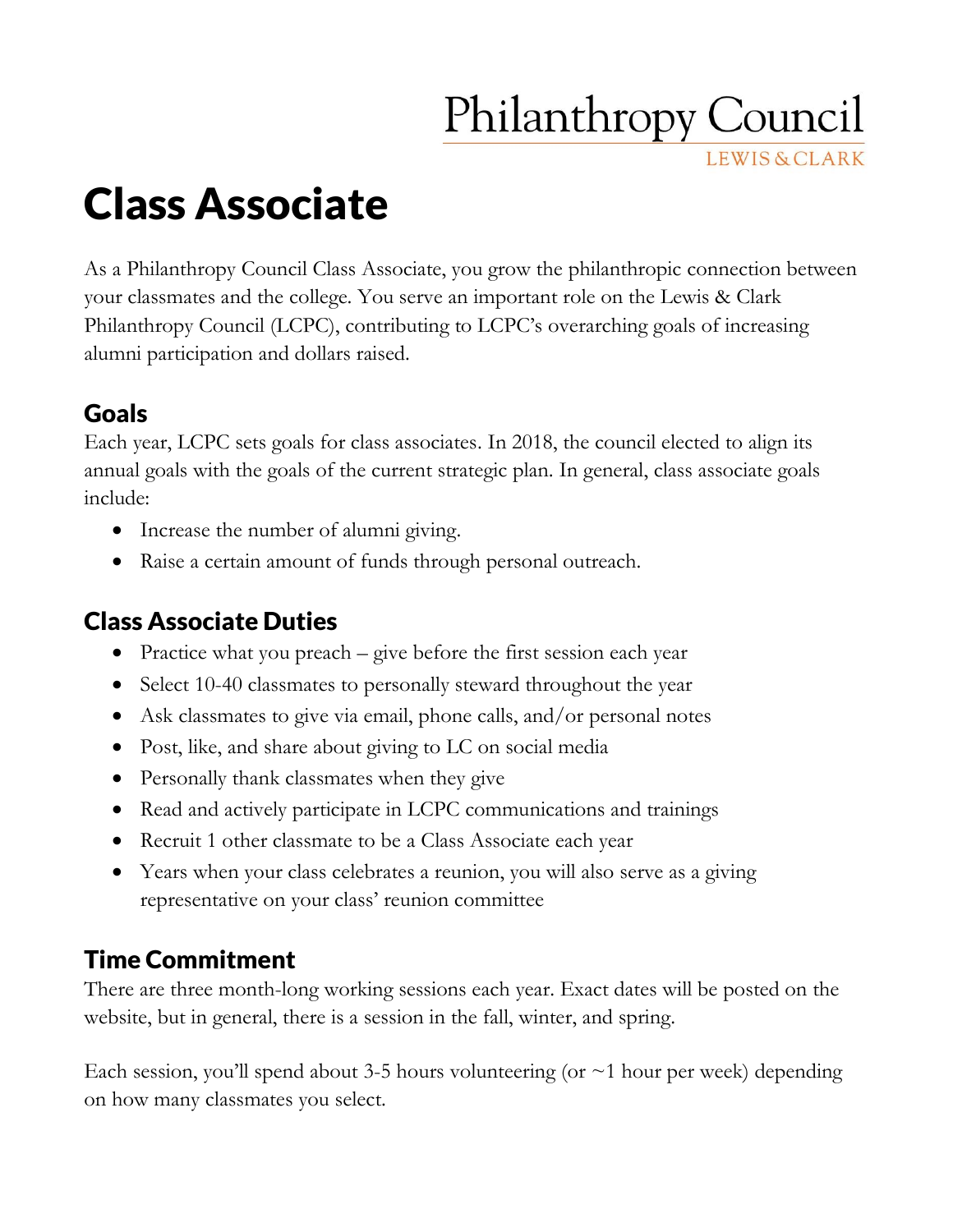# **Philanthropy Council**

**LEWIS & CLARK** 

Class Associate

As a Philanthropy Council Class Associate, you grow the philanthropic connection between your classmates and the college. You serve an important role on the Lewis & Clark Philanthropy Council (LCPC), contributing to LCPC's overarching goals of increasing alumni participation and dollars raised.

#### Goals

Each year, LCPC sets goals for class associates. In 2018, the council elected to align its annual goals with the goals of the current strategic plan. In general, class associate goals include:

- Increase the number of alumni giving.
- Raise a certain amount of funds through personal outreach.

### Class Associate Duties

- Practice what you preach give before the first session each year
- Select 10-40 classmates to personally steward throughout the year
- Ask classmates to give via email, phone calls, and/or personal notes
- Post, like, and share about giving to LC on social media
- Personally thank classmates when they give
- Read and actively participate in LCPC communications and trainings
- Recruit 1 other classmate to be a Class Associate each year
- Years when your class celebrates a reunion, you will also serve as a giving representative on your class' reunion committee

# Time Commitment

There are three month-long working sessions each year. Exact dates will be posted on the website, but in general, there is a session in the fall, winter, and spring.

Each session, you'll spend about 3-5 hours volunteering (or  $\sim$ 1 hour per week) depending on how many classmates you select.